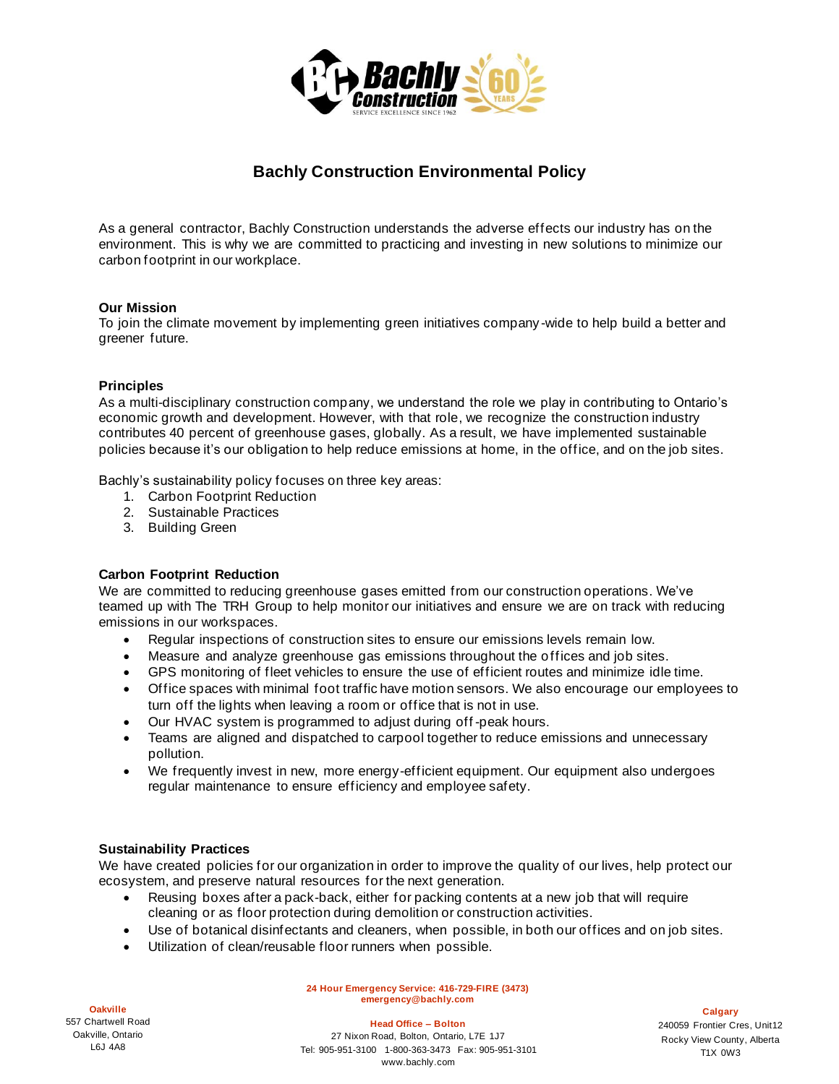

# **Bachly Construction Environmental Policy**

As a general contractor, Bachly Construction understands the adverse effects our industry has on the environment. This is why we are committed to practicing and investing in new solutions to minimize our carbon footprint in our workplace.

## **Our Mission**

To join the climate movement by implementing green initiatives company -wide to help build a better and greener future.

#### **Principles**

As a multi-disciplinary construction company, we understand the role we play in contributing to Ontario's economic growth and development. However, with that role, we recognize the construction industry contributes 40 percent of greenhouse gases, globally. As a result, we have implemented sustainable policies because it's our obligation to help reduce emissions at home, in the office, and on the job sites.

Bachly's sustainability policy focuses on three key areas:

- 1. Carbon Footprint Reduction
- 2. Sustainable Practices
- 3. Building Green

## **Carbon Footprint Reduction**

We are committed to reducing greenhouse gases emitted from our construction operations. We've teamed up with The TRH Group to help monitor our initiatives and ensure we are on track with reducing emissions in our workspaces.

- Regular inspections of construction sites to ensure our emissions levels remain low.
- Measure and analyze greenhouse gas emissions throughout the o ffices and job sites.
- GPS monitoring of fleet vehicles to ensure the use of efficient routes and minimize idle time.
- Office spaces with minimal foot traffic have motion sensors. We also encourage our employees to turn off the lights when leaving a room or office that is not in use.
- Our HVAC system is programmed to adjust during off -peak hours.
- Teams are aligned and dispatched to carpool together to reduce emissions and unnecessary pollution.
- We frequently invest in new, more energy-efficient equipment. Our equipment also undergoes regular maintenance to ensure efficiency and employee safety.

#### **Sustainability Practices**

We have created policies for our organization in order to improve the quality of our lives, help protect our ecosystem, and preserve natural resources for the next generation.

- Reusing boxes after a pack-back, either for packing contents at a new job that will require cleaning or as floor protection during demolition or construction activities.
- Use of botanical disinfectants and cleaners, when possible, in both our offices and on job sites.
- Utilization of clean/reusable floor runners when possible.

**24 Hour Emergency Service: 416-729-FIRE (3473) emergency@bachly.com**

**Oakville**  557 Chartwell Road Oakville, Ontario L6J 4A8

**Head Office – Bolton** 

27 Nixon Road, Bolton, Ontario, L7E 1J7 Tel: 905-951-3100 1-800-363-3473 Fax: 905-951-3101 www.bachly.com

**Calgary**  240059 Frontier Cres, Unit12 Rocky View County, Alberta T1X 0W3